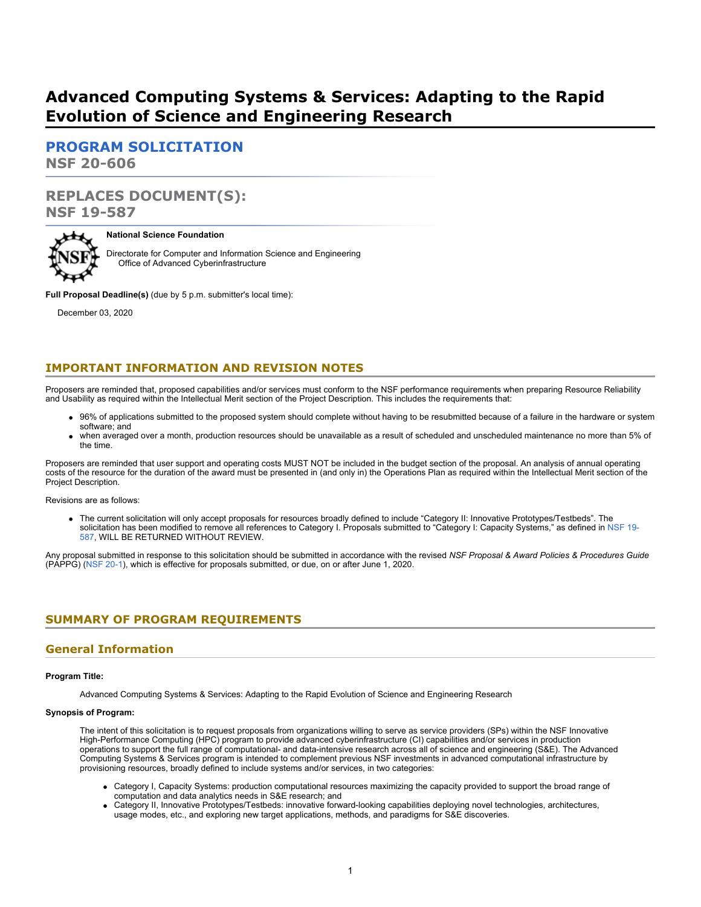# **Advanced Computing Systems & Services: Adapting to the Rapid Evolution of Science and Engineering Research**

**[PROGRAM SOLICITATION](#page-2-0) NSF 20-606**

# **REPLACES DOCUMENT(S): NSF 19-587**



### **National Science Foundation**

Directorate for Computer and Information Science and Engineering Office of Advanced Cyberinfrastructure

**Full Proposal Deadline(s)** (due by 5 p.m. submitter's local time):

December 03, 2020

# **IMPORTANT INFORMATION AND REVISION NOTES**

Proposers are reminded that, proposed capabilities and/or services must conform to the NSF performance requirements when preparing Resource Reliability and Usability as required within the Intellectual Merit section of the Project Description. This includes the requirements that:

- 96% of applications submitted to the proposed system should complete without having to be resubmitted because of a failure in the hardware or system software; and
- when averaged over a month, production resources should be unavailable as a result of scheduled and unscheduled maintenance no more than 5% of the time.

Proposers are reminded that user support and operating costs MUST NOT be included in the budget section of the proposal. An analysis of annual operating costs of the resource for the duration of the award must be presented in (and only in) the Operations Plan as required within the Intellectual Merit section of the Project Description.

### Revisions are as follows:

The current solicitation will only accept proposals for resources broadly defined to include "Category II: Innovative Prototypes/Testbeds". The solicitation has been modified to remove all references to Category I. Proposals submitted to "Category I: Capacity Systems," as defined in [NSF 19-](https://www.nsf.gov/publications/pub_summ.jsp?ods_key=nsf19587) [587](https://www.nsf.gov/publications/pub_summ.jsp?ods_key=nsf19587), WILL BE RETURNED WITHOUT REVIEW.

Any proposal submitted in response to this solicitation should be submitted in accordance with the revised *NSF Proposal & Award Policies & Procedures Guide* (PAPPG) [\(NSF 20-1](https://www.nsf.gov/publications/pub_summ.jsp?ods_key=nsf20001&org=NSF)), which is effective for proposals submitted, or due, on or after June 1, 2020.

# <span id="page-0-0"></span>**SUMMARY OF PROGRAM REQUIREMENTS**

# **General Information**

### **Program Title:**

Advanced Computing Systems & Services: Adapting to the Rapid Evolution of Science and Engineering Research

### **Synopsis of Program:**

The intent of this solicitation is to request proposals from organizations willing to serve as service providers (SPs) within the NSF Innovative High-Performance Computing (HPC) program to provide advanced cyberinfrastructure (CI) capabilities and/or services in production operations to support the full range of computational- and data-intensive research across all of science and engineering (S&E). The Advanced Computing Systems & Services program is intended to complement previous NSF investments in advanced computational infrastructure by provisioning resources, broadly defined to include systems and/or services, in two categories:

- Category I, Capacity Systems: production computational resources maximizing the capacity provided to support the broad range of computation and data analytics needs in S&E research; and
- Category II, Innovative Prototypes/Testbeds: innovative forward-looking capabilities deploying novel technologies, architectures, usage modes, etc., and exploring new target applications, methods, and paradigms for S&E discoveries.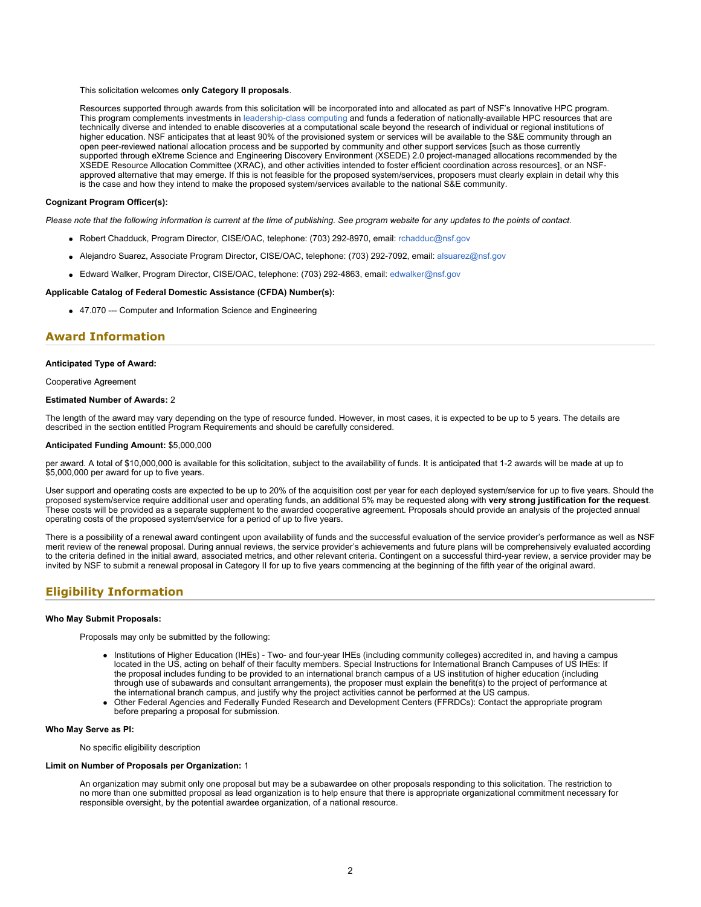### This solicitation welcomes **only Category II proposals**.

Resources supported through awards from this solicitation will be incorporated into and allocated as part of NSF's Innovative HPC program. This program complements investments in [leadership-class computing](https://www.nsf.gov/funding/pgm_summ.jsp?pims_id=503148) and funds a federation of nationally-available HPC resources that are technically diverse and intended to enable discoveries at a computational scale beyond the research of individual or regional institutions of higher education. NSF anticipates that at least 90% of the provisioned system or services will be available to the S&E community through an open peer-reviewed national allocation process and be supported by community and other support services [such as those currently supported through eXtreme Science and Engineering Discovery Environment (XSEDE) 2.0 project-managed allocations recommended by the XSEDE Resource Allocation Committee (XRAC), and other activities intended to foster efficient coordination across resources], or an NSFapproved alternative that may emerge. If this is not feasible for the proposed system/services, proposers must clearly explain in detail why this is the case and how they intend to make the proposed system/services available to the national S&E community.

### **Cognizant Program Officer(s):**

*Please note that the following information is current at the time of publishing. See program website for any updates to the points of contact.*

- Robert Chadduck, Program Director, CISE/OAC, telephone: (703) 292-8970, email: [rchadduc@nsf.gov](mailto:rchadduc@nsf.gov)
- Alejandro Suarez, Associate Program Director, CISE/OAC, telephone: (703) 292-7092, email: [alsuarez@nsf.gov](mailto:alsuarez@nsf.gov)
- Edward Walker, Program Director, CISE/OAC, telephone: (703) 292-4863, email: [edwalker@nsf.gov](mailto:edwalker@nsf.gov)

#### **Applicable Catalog of Federal Domestic Assistance (CFDA) Number(s):**

47.070 --- Computer and Information Science and Engineering

### **Award Information**

### **Anticipated Type of Award:**

Cooperative Agreement

### **Estimated Number of Awards:** 2

The length of the award may vary depending on the type of resource funded. However, in most cases, it is expected to be up to 5 years. The details are described in the section entitled Program Requirements and should be carefully considered.

### **Anticipated Funding Amount:** \$5,000,000

per award. A total of \$10,000,000 is available for this solicitation, subject to the availability of funds. It is anticipated that 1-2 awards will be made at up to \$5,000,000 per award for up to five years.

User support and operating costs are expected to be up to 20% of the acquisition cost per year for each deployed system/service for up to five years. Should the proposed system/service require additional user and operating funds, an additional 5% may be requested along with **very strong justification for the request**. These costs will be provided as a separate supplement to the awarded cooperative agreement. Proposals should provide an analysis of the projected annual operating costs of the proposed system/service for a period of up to five years.

There is a possibility of a renewal award contingent upon availability of funds and the successful evaluation of the service provider's performance as well as NSF merit review of the renewal proposal. During annual reviews, the service provider's achievements and future plans will be comprehensively evaluated according to the criteria defined in the initial award, associated metrics, and other relevant criteria. Contingent on a successful third-year review, a service provider may be invited by NSF to submit a renewal proposal in Category II for up to five years commencing at the beginning of the fifth year of the original award.

### **Eligibility Information**

#### **Who May Submit Proposals:**

Proposals may only be submitted by the following:

- Institutions of Higher Education (IHEs) Two- and four-year IHEs (including community colleges) accredited in, and having a campus located in the US, acting on behalf of their faculty members. Special Instructions for International Branch Campuses of US IHEs: If the proposal includes funding to be provided to an international branch campus of a US institution of higher education (including through use of subawards and consultant arrangements), the proposer must explain the benefit(s) to the project of performance at the international branch campus, and justify why the project activities cannot be performed at the US campus.
- Other Federal Agencies and Federally Funded Research and Development Centers (FFRDCs): Contact the appropriate program before preparing a proposal for submission.

### **Who May Serve as PI:**

No specific eligibility description

#### **Limit on Number of Proposals per Organization:** 1

An organization may submit only one proposal but may be a subawardee on other proposals responding to this solicitation. The restriction to no more than one submitted proposal as lead organization is to help ensure that there is appropriate organizational commitment necessary for responsible oversight, by the potential awardee organization, of a national resource.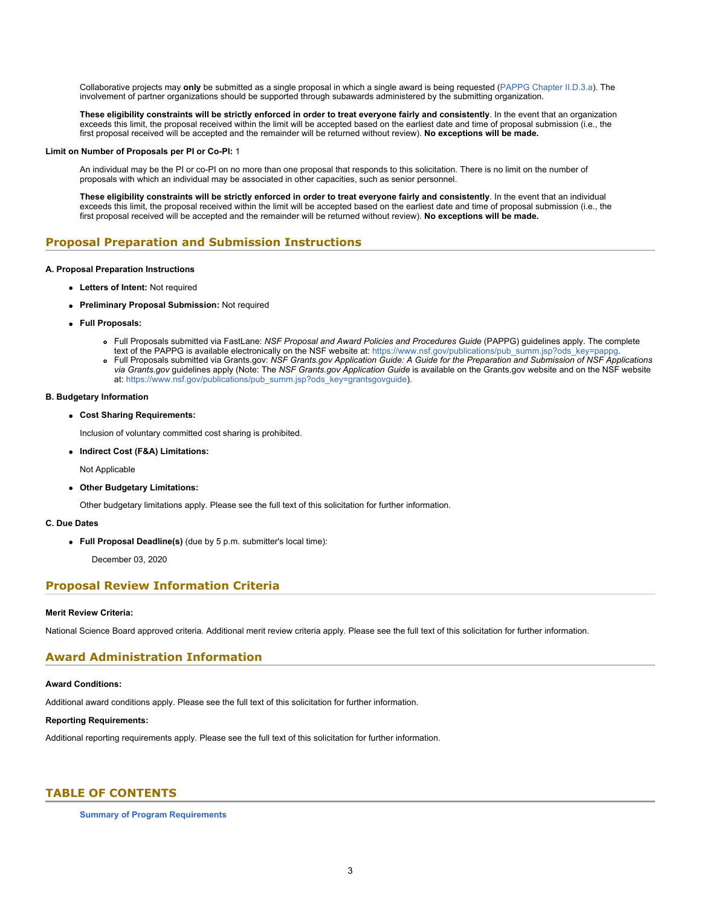Collaborative projects may **only** be submitted as a single proposal in which a single award is being requested ([PAPPG Chapter II.D.3.a](https://www.nsf.gov/publications/pub_summ.jsp?ods_key=pappg)). The involvement of partner organizations should be supported through subawards administered by the submitting organization.

**These eligibility constraints will be strictly enforced in order to treat everyone fairly and consistently**. In the event that an organization exceeds this limit, the proposal received within the limit will be accepted based on the earliest date and time of proposal submission (i.e., the first proposal received will be accepted and the remainder will be returned without review). **No exceptions will be made.**

### **Limit on Number of Proposals per PI or Co-PI:** 1

An individual may be the PI or co-PI on no more than one proposal that responds to this solicitation. There is no limit on the number of proposals with which an individual may be associated in other capacities, such as senior personnel.

**These eligibility constraints will be strictly enforced in order to treat everyone fairly and consistently**. In the event that an individual exceeds this limit, the proposal received within the limit will be accepted based on the earliest date and time of proposal submission (i.e., the first proposal received will be accepted and the remainder will be returned without review). **No exceptions will be made.**

### **Proposal Preparation and Submission Instructions**

### **A. Proposal Preparation Instructions**

- **Letters of Intent:** Not required
- **Preliminary Proposal Submission:** Not required
- **Full Proposals:**
	- Full Proposals submitted via FastLane: *NSF Proposal and Award Policies and Procedures Guide* (PAPPG) guidelines apply. The complete
	- text of the PAPPG is available electronically on the NSF website at: [https://www.nsf.gov/publications/pub\\_summ.jsp?ods\\_key=pappg](https://www.nsf.gov/publications/pub_summ.jsp?ods_key=pappg).
	- Full Proposals submitted via Grants.gov: *NSF Grants.gov Application Guide: A Guide for the Preparation and Submission of NSF Applications via Grants.gov* guidelines apply (Note: The *NSF Grants.gov Application Guide* is available on the Grants.gov website and on the NSF website at: [https://www.nsf.gov/publications/pub\\_summ.jsp?ods\\_key=grantsgovguide](https://www.nsf.gov/publications/pub_summ.jsp?ods_key=grantsgovguide)).

### **B. Budgetary Information**

**Cost Sharing Requirements:**

Inclusion of voluntary committed cost sharing is prohibited.

**Indirect Cost (F&A) Limitations:**

Not Applicable

**Other Budgetary Limitations:**

Other budgetary limitations apply. Please see the full text of this solicitation for further information.

### **C. Due Dates**

**Full Proposal Deadline(s)** (due by 5 p.m. submitter's local time):

December 03, 2020

### **Proposal Review Information Criteria**

### **Merit Review Criteria:**

National Science Board approved criteria. Additional merit review criteria apply. Please see the full text of this solicitation for further information.

### **Award Administration Information**

### **Award Conditions:**

Additional award conditions apply. Please see the full text of this solicitation for further information.

### **Reporting Requirements:**

Additional reporting requirements apply. Please see the full text of this solicitation for further information.

### <span id="page-2-0"></span>**TABLE OF CONTENTS**

**[Summary of Program Requirements](#page-0-0)**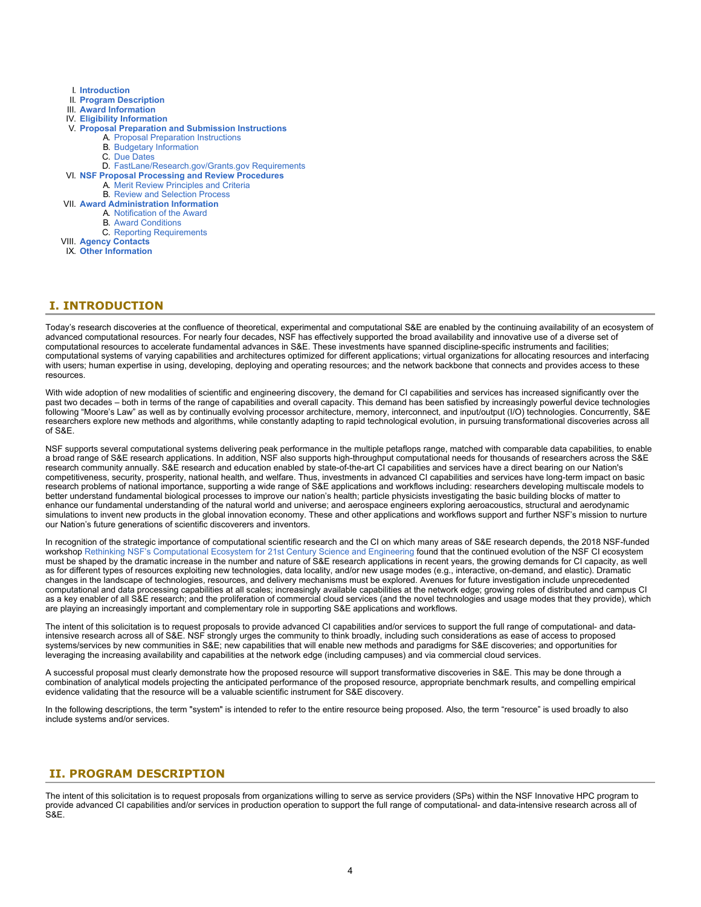- I. **[Introduction](#page-3-0)**
- II. **[Program Description](#page-3-1)**
- III. **[Award Information](#page-4-0)**
- IV. **[Eligibility Information](#page-5-0)**
- V. **[Proposal Preparation and Submission Instructions](#page-5-1)**
	- A. [Proposal Preparation Instructions](#page-5-1)
		- B. [Budgetary Information](#page-8-0)
		- C. [Due Dates](#page-9-0)
	- D. [FastLane/Research.gov/Grants.gov Requirements](#page-9-1)
- VI. **[NSF Proposal Processing and Review Procedures](#page-9-2)**
	- A. [Merit Review Principles and Criteria](#page-10-0)
		- B. [Review and Selection Process](#page-11-0)
- VII. **[Award Administration Information](#page-11-1)**
	- A. [Notification of the Award](#page-11-2)
	- B. [Award Conditions](#page-11-3)
	- C. [Reporting Requirements](#page-12-0)
- VIII. **[Agency Contacts](#page-12-1)**
- IX. **[Other Information](#page-12-2)**

# <span id="page-3-0"></span>**I. INTRODUCTION**

Today's research discoveries at the confluence of theoretical, experimental and computational S&E are enabled by the continuing availability of an ecosystem of advanced computational resources. For nearly four decades, NSF has effectively supported the broad availability and innovative use of a diverse set of computational resources to accelerate fundamental advances in S&E. These investments have spanned discipline-specific instruments and facilities; computational systems of varying capabilities and architectures optimized for different applications; virtual organizations for allocating resources and interfacing with users; human expertise in using, developing, deploying and operating resources; and the network backbone that connects and provides access to these resources.

With wide adoption of new modalities of scientific and engineering discovery, the demand for CI capabilities and services has increased significantly over the past two decades – both in terms of the range of capabilities and overall capacity. This demand has been satisfied by increasingly powerful device technologies following "Moore's Law" as well as by continually evolving processor architecture, memory, interconnect, and input/output (I/O) technologies. Concurrently, S&E researchers explore new methods and algorithms, while constantly adapting to rapid technological evolution, in pursuing transformational discoveries across all of S&E.

NSF supports several computational systems delivering peak performance in the multiple petaflops range, matched with comparable data capabilities, to enable a broad range of S&E research applications. In addition, NSF also supports high-throughput computational needs for thousands of researchers across the S&E research community annually. S&E research and education enabled by state-of-the-art CI capabilities and services have a direct bearing on our Nation's competitiveness, security, prosperity, national health, and welfare. Thus, investments in advanced CI capabilities and services have long-term impact on basic research problems of national importance, supporting a wide range of S&E applications and workflows including: researchers developing multiscale models to better understand fundamental biological processes to improve our nation's health; particle physicists investigating the basic building blocks of matter to enhance our fundamental understanding of the natural world and universe; and aerospace engineers exploring aeroacoustics, structural and aerodynamic simulations to invent new products in the global innovation economy. These and other applications and workflows support and further NSF's mission to nurture our Nation's future generations of scientific discoverers and inventors.

In recognition of the strategic importance of computational scientific research and the CI on which many areas of S&E research depends, the 2018 NSF-funded workshop [Rethinking NSF's Computational Ecosystem for 21st Century Science and Engineering](https://www.nsf.gov/cgi-bin/goodbye?https://uiowa.edu/nsfcyberinfrastructure/) found that the continued evolution of the NSF CI ecosystem must be shaped by the dramatic increase in the number and nature of S&E research applications in recent years, the growing demands for CI capacity, as well as for different types of resources exploiting new technologies, data locality, and/or new usage modes (e.g., interactive, on-demand, and elastic). Dramatic changes in the landscape of technologies, resources, and delivery mechanisms must be explored. Avenues for future investigation include unprecedented computational and data processing capabilities at all scales; increasingly available capabilities at the network edge; growing roles of distributed and campus CI as a key enabler of all S&E research; and the proliferation of commercial cloud services (and the novel technologies and usage modes that they provide), which are playing an increasingly important and complementary role in supporting S&E applications and workflows.

The intent of this solicitation is to request proposals to provide advanced CI capabilities and/or services to support the full range of computational- and dataintensive research across all of S&E. NSF strongly urges the community to think broadly, including such considerations as ease of access to proposed systems/services by new communities in S&E; new capabilities that will enable new methods and paradigms for S&E discoveries; and opportunities for leveraging the increasing availability and capabilities at the network edge (including campuses) and via commercial cloud services.

A successful proposal must clearly demonstrate how the proposed resource will support transformative discoveries in S&E. This may be done through a combination of analytical models projecting the anticipated performance of the proposed resource, appropriate benchmark results, and compelling empirical evidence validating that the resource will be a valuable scientific instrument for S&E discovery.

In the following descriptions, the term "system" is intended to refer to the entire resource being proposed. Also, the term "resource" is used broadly to also include systems and/or services.

# <span id="page-3-1"></span>**II. PROGRAM DESCRIPTION**

The intent of this solicitation is to request proposals from organizations willing to serve as service providers (SPs) within the NSF Innovative HPC program to provide advanced CI capabilities and/or services in production operation to support the full range of computational- and data-intensive research across all of S&E.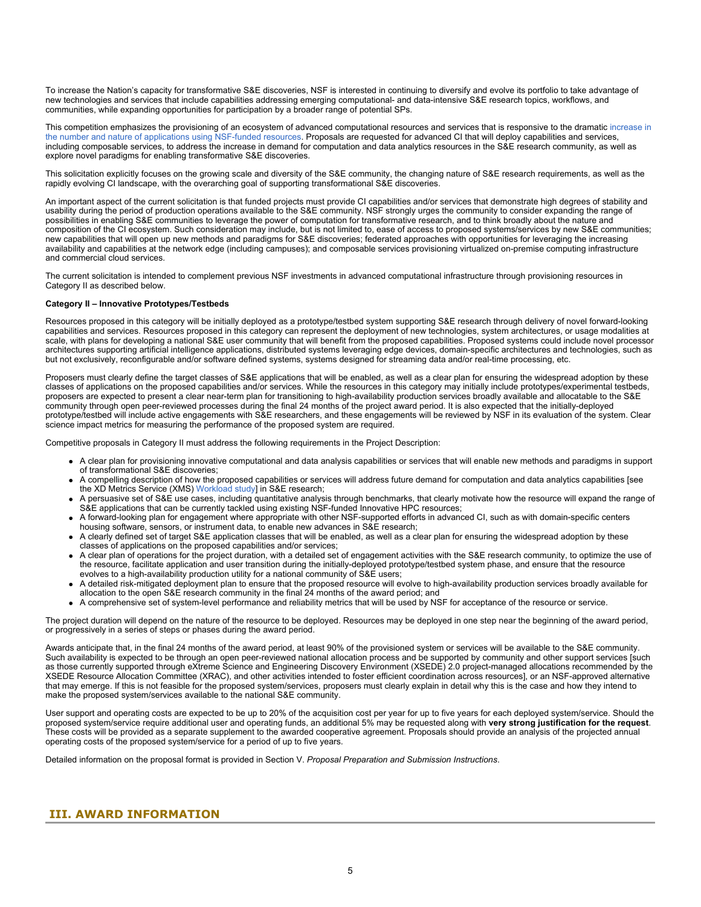To increase the Nation's capacity for transformative S&E discoveries, NSF is interested in continuing to diversify and evolve its portfolio to take advantage of new technologies and services that include capabilities addressing emerging computational- and data-intensive S&E research topics, workflows, and communities, while expanding opportunities for participation by a broader range of potential SPs.

This competition emphasizes the provisioning of an ecosystem of advanced computational resources and services that is responsive to the dramatic [increase in](https://www.nsf.gov/cgi-bin/goodbye?https://arxiv.org/pdf/1801.04306.pdf) [the number and nature of applications using NSF-funded resources](https://www.nsf.gov/cgi-bin/goodbye?https://arxiv.org/pdf/1801.04306.pdf). Proposals are requested for advanced CI that will deploy capabilities and services, including composable services, to address the increase in demand for computation and data analytics resources in the S&E research community, as well as explore novel paradigms for enabling transformative S&E discoveries.

This solicitation explicitly focuses on the growing scale and diversity of the S&E community, the changing nature of S&E research requirements, as well as the rapidly evolving CI landscape, with the overarching goal of supporting transformational S&E discoveries.

An important aspect of the current solicitation is that funded projects must provide CI capabilities and/or services that demonstrate high degrees of stability and usability during the period of production operations available to the S&E community. NSF strongly urges the community to consider expanding the range of possibilities in enabling S&E communities to leverage the power of computation for transformative research, and to think broadly about the nature and composition of the CI ecosystem. Such consideration may include, but is not limited to, ease of access to proposed systems/services by new S&E communities; new capabilities that will open up new methods and paradigms for S&E discoveries; federated approaches with opportunities for leveraging the increasing availability and capabilities at the network edge (including campuses); and composable services provisioning virtualized on-premise computing infrastructure and commercial cloud services.

The current solicitation is intended to complement previous NSF investments in advanced computational infrastructure through provisioning resources in Category II as described below.

### **Category II – Innovative Prototypes/Testbeds**

Resources proposed in this category will be initially deployed as a prototype/testbed system supporting S&E research through delivery of novel forward-looking capabilities and services. Resources proposed in this category can represent the deployment of new technologies, system architectures, or usage modalities at scale, with plans for developing a national S&E user community that will benefit from the proposed capabilities. Proposed systems could include novel processor architectures supporting artificial intelligence applications, distributed systems leveraging edge devices, domain-specific architectures and technologies, such as but not exclusively, reconfigurable and/or software defined systems, systems designed for streaming data and/or real-time processing, etc.

Proposers must clearly define the target classes of S&E applications that will be enabled, as well as a clear plan for ensuring the widespread adoption by these classes of applications on the proposed capabilities and/or services. While the resources in this category may initially include prototypes/experimental testbeds, proposers are expected to present a clear near-term plan for transitioning to high-availability production services broadly available and allocatable to the S&E community through open peer-reviewed processes during the final 24 months of the project award period. It is also expected that the initially-deployed prototype/testbed will include active engagements with S&E researchers, and these engagements will be reviewed by NSF in its evaluation of the system. Clear science impact metrics for measuring the performance of the proposed system are required.

Competitive proposals in Category II must address the following requirements in the Project Description:

- A clear plan for provisioning innovative computational and data analysis capabilities or services that will enable new methods and paradigms in support of transformational S&E discoveries;
- A compelling description of how the proposed capabilities or services will address future demand for computation and data analytics capabilities [see the XD Metrics Service (XMS) [Workload study](https://www.nsf.gov/cgi-bin/goodbye?http://arxiv.org/abs/1801.04306)] in S&E research;
- A persuasive set of S&E use cases, including quantitative analysis through benchmarks, that clearly motivate how the resource will expand the range of S&E applications that can be currently tackled using existing NSF-funded Innovative HPC resources;
- A forward-looking plan for engagement where appropriate with other NSF-supported efforts in advanced CI, such as with domain-specific centers housing software, sensors, or instrument data, to enable new advances in S&E research;
- A clearly defined set of target S&E application classes that will be enabled, as well as a clear plan for ensuring the widespread adoption by these classes of applications on the proposed capabilities and/or services;
- A clear plan of operations for the project duration, with a detailed set of engagement activities with the S&E research community, to optimize the use of the resource, facilitate application and user transition during the initially-deployed prototype/testbed system phase, and ensure that the resource evolves to a high-availability production utility for a national community of S&E users;
- A detailed risk-mitigated deployment plan to ensure that the proposed resource will evolve to high-availability production services broadly available for allocation to the open S&E research community in the final 24 months of the award period; and
- A comprehensive set of system-level performance and reliability metrics that will be used by NSF for acceptance of the resource or service.

The project duration will depend on the nature of the resource to be deployed. Resources may be deployed in one step near the beginning of the award period, or progressively in a series of steps or phases during the award period.

Awards anticipate that, in the final 24 months of the award period, at least 90% of the provisioned system or services will be available to the S&E community. Such availability is expected to be through an open peer-reviewed national allocation process and be supported by community and other support services [such as those currently supported through eXtreme Science and Engineering Discovery Environment (XSEDE) 2.0 project-managed allocations recommended by the XSEDE Resource Allocation Committee (XRAC), and other activities intended to foster efficient coordination across resources], or an NSF-approved alternative that may emerge. If this is not feasible for the proposed system/services, proposers must clearly explain in detail why this is the case and how they intend to make the proposed system/services available to the national S&E community.

User support and operating costs are expected to be up to 20% of the acquisition cost per year for up to five years for each deployed system/service. Should the proposed system/service require additional user and operating funds, an additional 5% may be requested along with **very strong justification for the request**. These costs will be provided as a separate supplement to the awarded cooperative agreement. Proposals should provide an analysis of the projected annual operating costs of the proposed system/service for a period of up to five years.

Detailed information on the proposal format is provided in Section V. *Proposal Preparation and Submission Instructions*.

### <span id="page-4-0"></span>**III. AWARD INFORMATION**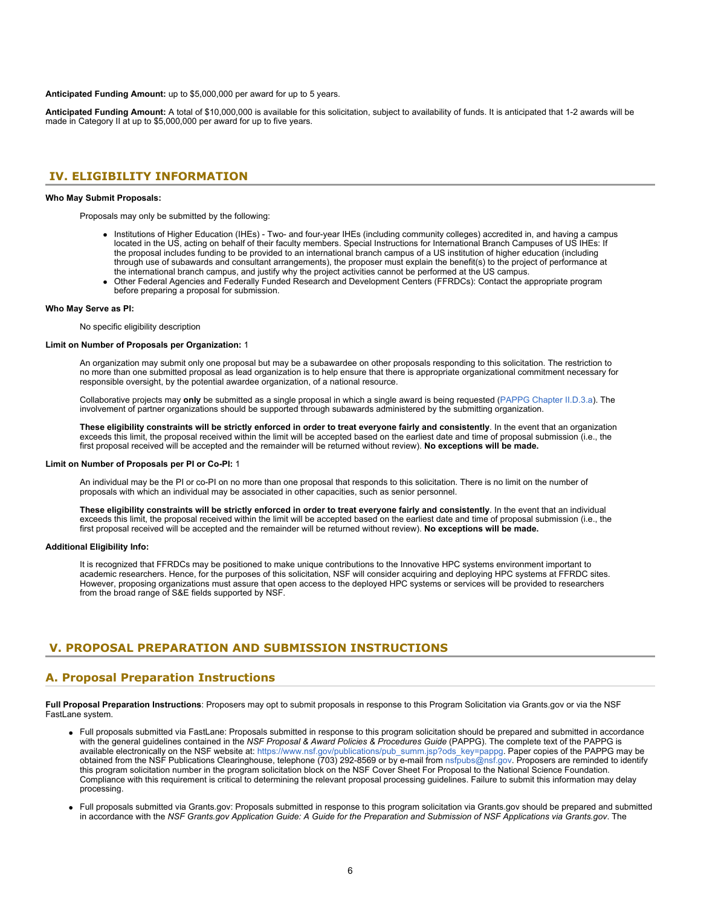**Anticipated Funding Amount:** up to \$5,000,000 per award for up to 5 years.

**Anticipated Funding Amount:** A total of \$10,000,000 is available for this solicitation, subject to availability of funds. It is anticipated that 1-2 awards will be made in Category II at up to \$5,000,000 per award for up to five years.

# <span id="page-5-0"></span>**IV. ELIGIBILITY INFORMATION**

### **Who May Submit Proposals:**

Proposals may only be submitted by the following:

- Institutions of Higher Education (IHEs) Two- and four-year IHEs (including community colleges) accredited in, and having a campus located in the US, acting on behalf of their faculty members. Special Instructions for International Branch Campuses of US IHEs: If the proposal includes funding to be provided to an international branch campus of a US institution of higher education (including through use of subawards and consultant arrangements), the proposer must explain the benefit(s) to the project of performance at the international branch campus, and justify why the project activities cannot be performed at the US campus.
- Other Federal Agencies and Federally Funded Research and Development Centers (FFRDCs): Contact the appropriate program before preparing a proposal for submission.

### **Who May Serve as PI:**

No specific eligibility description

### **Limit on Number of Proposals per Organization:** 1

An organization may submit only one proposal but may be a subawardee on other proposals responding to this solicitation. The restriction to no more than one submitted proposal as lead organization is to help ensure that there is appropriate organizational commitment necessary for responsible oversight, by the potential awardee organization, of a national resource.

Collaborative projects may **only** be submitted as a single proposal in which a single award is being requested ([PAPPG Chapter II.D.3.a](https://www.nsf.gov/publications/pub_summ.jsp?ods_key=pappg)). The involvement of partner organizations should be supported through subawards administered by the submitting organization.

**These eligibility constraints will be strictly enforced in order to treat everyone fairly and consistently**. In the event that an organization exceeds this limit, the proposal received within the limit will be accepted based on the earliest date and time of proposal submission (i.e., the first proposal received will be accepted and the remainder will be returned without review). **No exceptions will be made.**

#### **Limit on Number of Proposals per PI or Co-PI:** 1

An individual may be the PI or co-PI on no more than one proposal that responds to this solicitation. There is no limit on the number of proposals with which an individual may be associated in other capacities, such as senior personnel.

**These eligibility constraints will be strictly enforced in order to treat everyone fairly and consistently**. In the event that an individual exceeds this limit, the proposal received within the limit will be accepted based on the earliest date and time of proposal submission (i.e., the first proposal received will be accepted and the remainder will be returned without review). **No exceptions will be made.**

### **Additional Eligibility Info:**

It is recognized that FFRDCs may be positioned to make unique contributions to the Innovative HPC systems environment important to academic researchers. Hence, for the purposes of this solicitation, NSF will consider acquiring and deploying HPC systems at FFRDC sites. However, proposing organizations must assure that open access to the deployed HPC systems or services will be provided to researchers from the broad range of S&E fields supported by NSF.

### <span id="page-5-1"></span>**V. PROPOSAL PREPARATION AND SUBMISSION INSTRUCTIONS**

### **A. Proposal Preparation Instructions**

**Full Proposal Preparation Instructions**: Proposers may opt to submit proposals in response to this Program Solicitation via Grants.gov or via the NSF FastLane system.

- Full proposals submitted via FastLane: Proposals submitted in response to this program solicitation should be prepared and submitted in accordance with the general guidelines contained in the *NSF Proposal & Award Policies & Procedures Guide* (PAPPG). The complete text of the PAPPG is available electronically on the NSF website at: [https://www.nsf.gov/publications/pub\\_summ.jsp?ods\\_key=pappg](https://www.nsf.gov/publications/pub_summ.jsp?ods_key=pappg). Paper copies of the PAPPG may be obtained from the NSF Publications Clearinghouse, telephone (703) 292-8569 or by e-mail from [nsfpubs@nsf.gov](mailto:nsfpubs@nsf.gov). Proposers are reminded to identify this program solicitation number in the program solicitation block on the NSF Cover Sheet For Proposal to the National Science Foundation. Compliance with this requirement is critical to determining the relevant proposal processing guidelines. Failure to submit this information may delay processing.
- Full proposals submitted via Grants.gov: Proposals submitted in response to this program solicitation via Grants.gov should be prepared and submitted in accordance with the *NSF Grants.gov Application Guide: A Guide for the Preparation and Submission of NSF Applications via Grants.gov*. The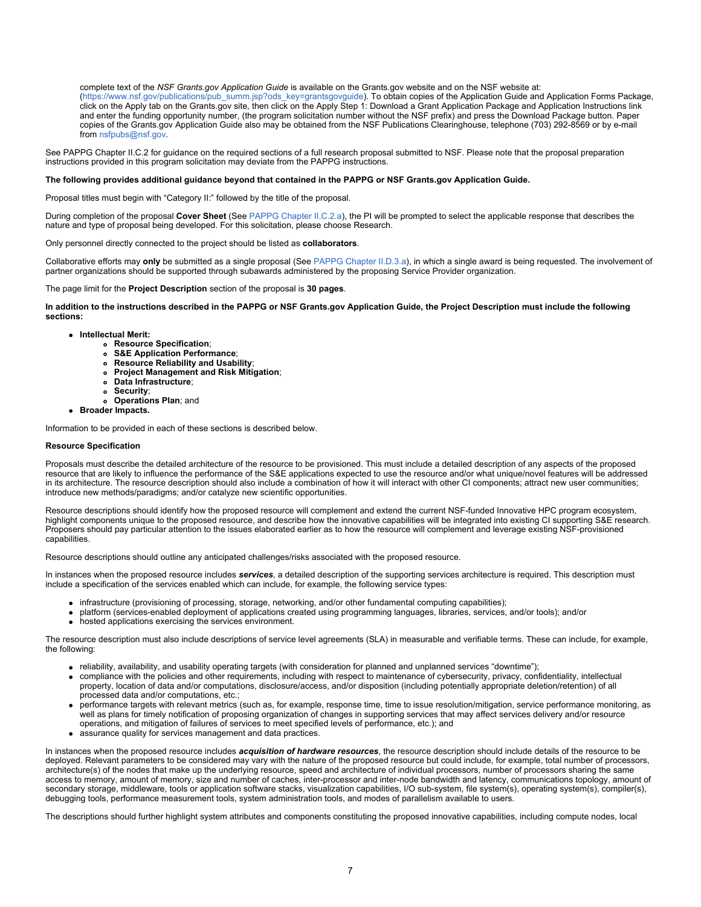complete text of the *NSF Grants.gov Application Guide* is available on the Grants.gov website and on the NSF website at: [\(https://www.nsf.gov/publications/pub\\_summ.jsp?ods\\_key=grantsgovguide](https://www.nsf.gov/publications/pub_summ.jsp?ods_key=grantsgovguide)). To obtain copies of the Application Guide and Application Forms Package, click on the Apply tab on the Grants.gov site, then click on the Apply Step 1: Download a Grant Application Package and Application Instructions link and enter the funding opportunity number, (the program solicitation number without the NSF prefix) and press the Download Package button. Paper copies of the Grants.gov Application Guide also may be obtained from the NSF Publications Clearinghouse, telephone (703) 292-8569 or by e-mail from [nsfpubs@nsf.gov](mailto:nsfpubs@nsf.gov).

See PAPPG Chapter II.C.2 for guidance on the required sections of a full research proposal submitted to NSF. Please note that the proposal preparation instructions provided in this program solicitation may deviate from the PAPPG instructions.

### **The following provides additional guidance beyond that contained in the PAPPG or NSF Grants.gov Application Guide.**

Proposal titles must begin with "Category II:" followed by the title of the proposal.

During completion of the proposal **Cover Sheet** (See [PAPPG Chapter II.C.2.a](https://www.nsf.gov/pubs/policydocs/pappg20_1/pappg_2.jsp#IIC2a)), the PI will be prompted to select the applicable response that describes the nature and type of proposal being developed. For this solicitation, please choose Research.

Only personnel directly connected to the project should be listed as **collaborators**.

Collaborative efforts may **only** be submitted as a single proposal (See [PAPPG Chapter II.D.3.a](https://www.nsf.gov/publications/pub_summ.jsp?ods_key=pappg)), in which a single award is being requested. The involvement of partner organizations should be supported through subawards administered by the proposing Service Provider organization.

The page limit for the **Project Description** section of the proposal is **30 pages**.

**In addition to the instructions described in the PAPPG or NSF Grants.gov Application Guide, the Project Description must include the following sections:**

- **Intellectual Merit:**
	- **Resource Specification**;
	- **S&E Application Performance**;
	- **Resource Reliability and Usability**;
	- **Project Management and Risk Mitigation**;
	- **Data Infrastructure**;  $\bullet$
	- **Security**;  $\bullet$
	- **Operations Plan**; and

**Broader Impacts.**

Information to be provided in each of these sections is described below.

#### **Resource Specification**

Proposals must describe the detailed architecture of the resource to be provisioned. This must include a detailed description of any aspects of the proposed resource that are likely to influence the performance of the S&E applications expected to use the resource and/or what unique/novel features will be addressed in its architecture. The resource description should also include a combination of how it will interact with other CI components; attract new user communities; introduce new methods/paradigms; and/or catalyze new scientific opportunities.

Resource descriptions should identify how the proposed resource will complement and extend the current NSF-funded Innovative HPC program ecosystem, highlight components unique to the proposed resource, and describe how the innovative capabilities will be integrated into existing CI supporting S&E research. Proposers should pay particular attention to the issues elaborated earlier as to how the resource will complement and leverage existing NSF-provisioned capabilities.

Resource descriptions should outline any anticipated challenges/risks associated with the proposed resource.

In instances when the proposed resource includes *services*, a detailed description of the supporting services architecture is required. This description must include a specification of the services enabled which can include, for example, the following service types:

- infrastructure (provisioning of processing, storage, networking, and/or other fundamental computing capabilities);
- platform (services-enabled deployment of applications created using programming languages, libraries, services, and/or tools); and/or
- hosted applications exercising the services environment.

The resource description must also include descriptions of service level agreements (SLA) in measurable and verifiable terms. These can include, for example, the following:

- reliability, availability, and usability operating targets (with consideration for planned and unplanned services "downtime");
- compliance with the policies and other requirements, including with respect to maintenance of cybersecurity, privacy, confidentiality, intellectual property, location of data and/or computations, disclosure/access, and/or disposition (including potentially appropriate deletion/retention) of all processed data and/or computations, etc.;
- performance targets with relevant metrics (such as, for example, response time, time to issue resolution/mitigation, service performance monitoring, as well as plans for timely notification of proposing organization of changes in supporting services that may affect services delivery and/or resource operations, and mitigation of failures of services to meet specified levels of performance, etc.); and
- assurance quality for services management and data practices.

In instances when the proposed resource includes *acquisition of hardware resources*, the resource description should include details of the resource to be deployed. Relevant parameters to be considered may vary with the nature of the proposed resource but could include, for example, total number of processors, architecture(s) of the nodes that make up the underlying resource, speed and architecture of individual processors, number of processors sharing the same access to memory, amount of memory, size and number of caches, inter-processor and inter-node bandwidth and latency, communications topology, amount of secondary storage, middleware, tools or application software stacks, visualization capabilities, I/O sub-system, file system(s), operating system(s), compiler(s), debugging tools, performance measurement tools, system administration tools, and modes of parallelism available to users.

The descriptions should further highlight system attributes and components constituting the proposed innovative capabilities, including compute nodes, local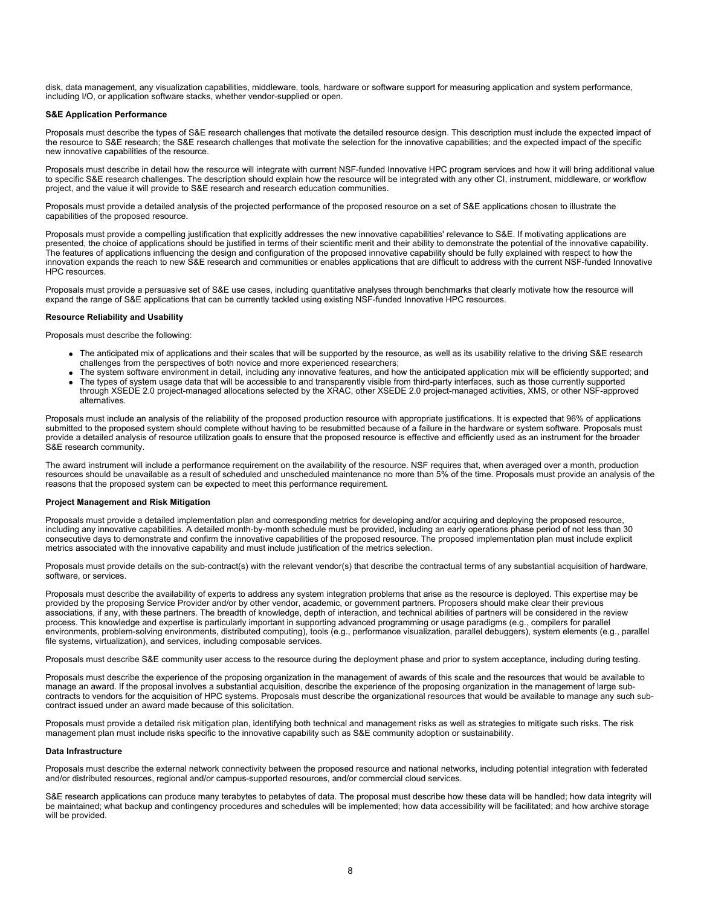disk, data management, any visualization capabilities, middleware, tools, hardware or software support for measuring application and system performance, including I/O, or application software stacks, whether vendor-supplied or open.

### **S&E Application Performance**

Proposals must describe the types of S&E research challenges that motivate the detailed resource design. This description must include the expected impact of the resource to S&E research; the S&E research challenges that motivate the selection for the innovative capabilities; and the expected impact of the specific new innovative capabilities of the resource.

Proposals must describe in detail how the resource will integrate with current NSF-funded Innovative HPC program services and how it will bring additional value to specific S&E research challenges. The description should explain how the resource will be integrated with any other CI, instrument, middleware, or workflow project, and the value it will provide to S&E research and research education communities.

Proposals must provide a detailed analysis of the projected performance of the proposed resource on a set of S&E applications chosen to illustrate the capabilities of the proposed resource.

Proposals must provide a compelling justification that explicitly addresses the new innovative capabilities' relevance to S&E. If motivating applications are presented, the choice of applications should be justified in terms of their scientific merit and their ability to demonstrate the potential of the innovative capability. The features of applications influencing the design and configuration of the proposed innovative capability should be fully explained with respect to how the innovation expands the reach to new S&E research and communities or enables applications that are difficult to address with the current NSF-funded Innovative HPC resources.

Proposals must provide a persuasive set of S&E use cases, including quantitative analyses through benchmarks that clearly motivate how the resource will expand the range of S&E applications that can be currently tackled using existing NSF-funded Innovative HPC resources.

### **Resource Reliability and Usability**

Proposals must describe the following:

- The anticipated mix of applications and their scales that will be supported by the resource, as well as its usability relative to the driving S&E research challenges from the perspectives of both novice and more experienced researchers;
- The system software environment in detail, including any innovative features, and how the anticipated application mix will be efficiently supported; and The types of system usage data that will be accessible to and transparently visible from third-party interfaces, such as those currently supported through XSEDE 2.0 project-managed allocations selected by the XRAC, other XSEDE 2.0 project-managed activities, XMS, or other NSF-approved alternatives.

Proposals must include an analysis of the reliability of the proposed production resource with appropriate justifications. It is expected that 96% of applications submitted to the proposed system should complete without having to be resubmitted because of a failure in the hardware or system software. Proposals must provide a detailed analysis of resource utilization goals to ensure that the proposed resource is effective and efficiently used as an instrument for the broader S&E research community.

The award instrument will include a performance requirement on the availability of the resource. NSF requires that, when averaged over a month, production resources should be unavailable as a result of scheduled and unscheduled maintenance no more than 5% of the time. Proposals must provide an analysis of the reasons that the proposed system can be expected to meet this performance requirement.

### **Project Management and Risk Mitigation**

Proposals must provide a detailed implementation plan and corresponding metrics for developing and/or acquiring and deploying the proposed resource, including any innovative capabilities. A detailed month-by-month schedule must be provided, including an early operations phase period of not less than 30 consecutive days to demonstrate and confirm the innovative capabilities of the proposed resource. The proposed implementation plan must include explicit metrics associated with the innovative capability and must include justification of the metrics selection.

Proposals must provide details on the sub-contract(s) with the relevant vendor(s) that describe the contractual terms of any substantial acquisition of hardware, software, or services.

Proposals must describe the availability of experts to address any system integration problems that arise as the resource is deployed. This expertise may be provided by the proposing Service Provider and/or by other vendor, academic, or government partners. Proposers should make clear their previous associations, if any, with these partners. The breadth of knowledge, depth of interaction, and technical abilities of partners will be considered in the review process. This knowledge and expertise is particularly important in supporting advanced programming or usage paradigms (e.g., compilers for parallel environments, problem-solving environments, distributed computing), tools (e.g., performance visualization, parallel debuggers), system elements (e.g., parallel file systems, virtualization), and services, including composable services.

Proposals must describe S&E community user access to the resource during the deployment phase and prior to system acceptance, including during testing.

Proposals must describe the experience of the proposing organization in the management of awards of this scale and the resources that would be available to manage an award. If the proposal involves a substantial acquisition, describe the experience of the proposing organization in the management of large subcontracts to vendors for the acquisition of HPC systems. Proposals must describe the organizational resources that would be available to manage any such subcontract issued under an award made because of this solicitation.

Proposals must provide a detailed risk mitigation plan, identifying both technical and management risks as well as strategies to mitigate such risks. The risk management plan must include risks specific to the innovative capability such as S&E community adoption or sustainability.

### **Data Infrastructure**

Proposals must describe the external network connectivity between the proposed resource and national networks, including potential integration with federated and/or distributed resources, regional and/or campus-supported resources, and/or commercial cloud services.

S&E research applications can produce many terabytes to petabytes of data. The proposal must describe how these data will be handled; how data integrity will be maintained; what backup and contingency procedures and schedules will be implemented; how data accessibility will be facilitated; and how archive storage will be provided.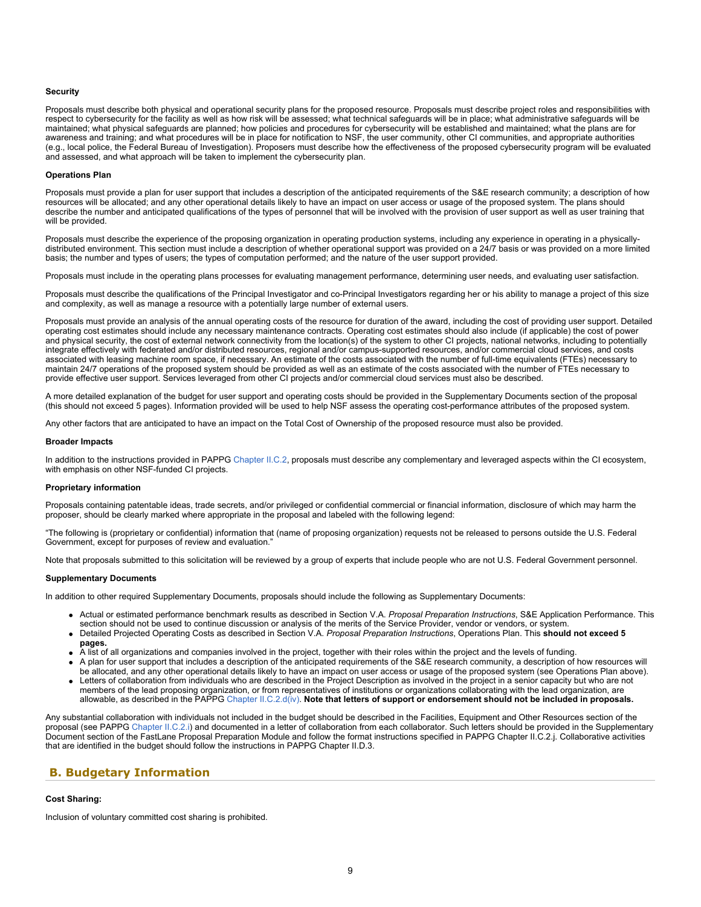### **Security**

Proposals must describe both physical and operational security plans for the proposed resource. Proposals must describe project roles and responsibilities with respect to cybersecurity for the facility as well as how risk will be assessed; what technical safeguards will be in place; what administrative safeguards will be maintained; what physical safeguards are planned; how policies and procedures for cybersecurity will be established and maintained; what the plans are for awareness and training; and what procedures will be in place for notification to NSF, the user community, other CI communities, and appropriate authorities (e.g., local police, the Federal Bureau of Investigation). Proposers must describe how the effectiveness of the proposed cybersecurity program will be evaluated and assessed, and what approach will be taken to implement the cybersecurity plan.

### **Operations Plan**

Proposals must provide a plan for user support that includes a description of the anticipated requirements of the S&E research community; a description of how resources will be allocated; and any other operational details likely to have an impact on user access or usage of the proposed system. The plans should describe the number and anticipated qualifications of the types of personnel that will be involved with the provision of user support as well as user training that will be provided.

Proposals must describe the experience of the proposing organization in operating production systems, including any experience in operating in a physicallydistributed environment. This section must include a description of whether operational support was provided on a 24/7 basis or was provided on a more limited basis; the number and types of users; the types of computation performed; and the nature of the user support provided.

Proposals must include in the operating plans processes for evaluating management performance, determining user needs, and evaluating user satisfaction.

Proposals must describe the qualifications of the Principal Investigator and co-Principal Investigators regarding her or his ability to manage a project of this size and complexity, as well as manage a resource with a potentially large number of external users.

Proposals must provide an analysis of the annual operating costs of the resource for duration of the award, including the cost of providing user support. Detailed operating cost estimates should include any necessary maintenance contracts. Operating cost estimates should also include (if applicable) the cost of power and physical security, the cost of external network connectivity from the location(s) of the system to other CI projects, national networks, including to potentially integrate effectively with federated and/or distributed resources, regional and/or campus-supported resources, and/or commercial cloud services, and costs associated with leasing machine room space, if necessary. An estimate of the costs associated with the number of full-time equivalents (FTEs) necessary to maintain 24/7 operations of the proposed system should be provided as well as an estimate of the costs associated with the number of FTEs necessary to provide effective user support. Services leveraged from other CI projects and/or commercial cloud services must also be described.

A more detailed explanation of the budget for user support and operating costs should be provided in the Supplementary Documents section of the proposal (this should not exceed 5 pages). Information provided will be used to help NSF assess the operating cost-performance attributes of the proposed system.

Any other factors that are anticipated to have an impact on the Total Cost of Ownership of the proposed resource must also be provided.

### **Broader Impacts**

In addition to the instructions provided in PAPPG [Chapter II.C.2,](https://www.nsf.gov/publications/pub_summ.jsp?ods_key=pappg) proposals must describe any complementary and leveraged aspects within the CI ecosystem, with emphasis on other NSF-funded CI projects.

### **Proprietary information**

Proposals containing patentable ideas, trade secrets, and/or privileged or confidential commercial or financial information, disclosure of which may harm the proposer, should be clearly marked where appropriate in the proposal and labeled with the following legend:

"The following is (proprietary or confidential) information that (name of proposing organization) requests not be released to persons outside the U.S. Federal Government, except for purposes of review and evaluation."

Note that proposals submitted to this solicitation will be reviewed by a group of experts that include people who are not U.S. Federal Government personnel.

### **Supplementary Documents**

In addition to other required Supplementary Documents, proposals should include the following as Supplementary Documents:

- Actual or estimated performance benchmark results as described in Section V.A. *Proposal Preparation Instructions*, S&E Application Performance. This section should not be used to continue discussion or analysis of the merits of the Service Provider, vendor or vendors, or system.
- Detailed Projected Operating Costs as described in Section V.A. *Proposal Preparation Instructions*, Operations Plan. This **should not exceed 5 pages.**
- A list of all organizations and companies involved in the project, together with their roles within the project and the levels of funding.
- A plan for user support that includes a description of the anticipated requirements of the S&E research community, a description of how resources will be allocated, and any other operational details likely to have an impact on user access or usage of the proposed system (see Operations Plan above).
- Letters of collaboration from individuals who are described in the Project Description as involved in the project in a senior capacity but who are not members of the lead proposing organization, or from representatives of institutions or organizations collaborating with the lead organization, are allowable, as described in the PAPPG [Chapter II.C.2.d\(iv\)](https://www.nsf.gov/publications/pub_summ.jsp?ods_key=pappg). **Note that letters of support or endorsement should not be included in proposals.**

Any substantial collaboration with individuals not included in the budget should be described in the Facilities, Equipment and Other Resources section of the proposal (see PAPPG [Chapter II.C.2.i](https://www.nsf.gov/publications/pub_summ.jsp?ods_key=pappg)) and documented in a letter of collaboration from each collaborator. Such letters should be provided in the Supplementary Document section of the FastLane Proposal Preparation Module and follow the format instructions specified in PAPPG Chapter II.C.2.j. Collaborative activities that are identified in the budget should follow the instructions in PAPPG Chapter II.D.3.

# <span id="page-8-0"></span>**B. Budgetary Information**

### **Cost Sharing:**

Inclusion of voluntary committed cost sharing is prohibited.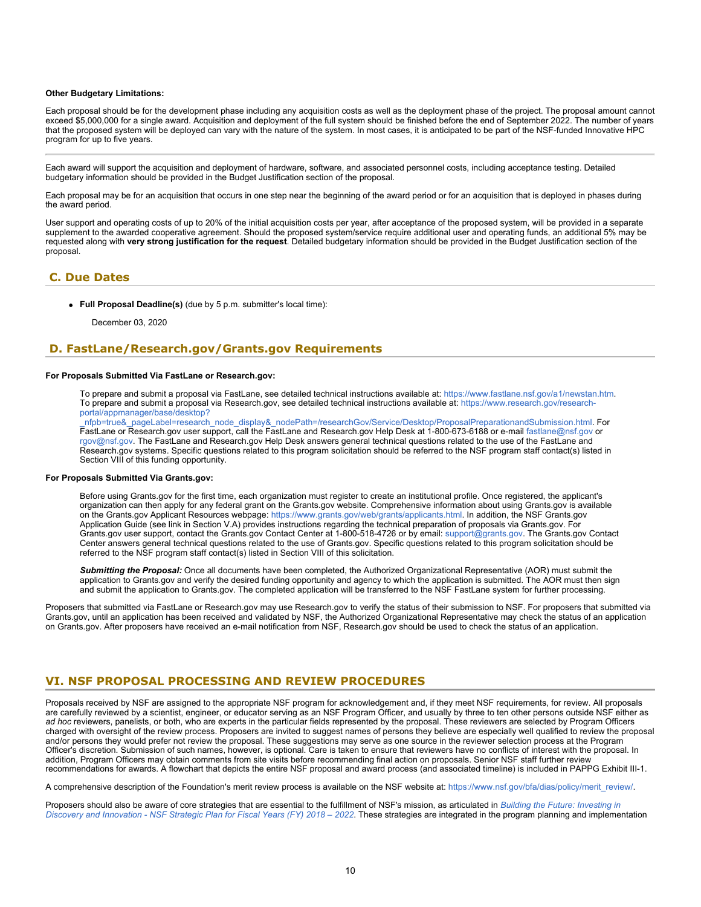#### **Other Budgetary Limitations:**

Each proposal should be for the development phase including any acquisition costs as well as the deployment phase of the project. The proposal amount cannot exceed \$5,000,000 for a single award. Acquisition and deployment of the full system should be finished before the end of September 2022. The number of years that the proposed system will be deployed can vary with the nature of the system. In most cases, it is anticipated to be part of the NSF-funded Innovative HPC program for up to five years.

Each award will support the acquisition and deployment of hardware, software, and associated personnel costs, including acceptance testing. Detailed budgetary information should be provided in the Budget Justification section of the proposal.

Each proposal may be for an acquisition that occurs in one step near the beginning of the award period or for an acquisition that is deployed in phases during the award period.

User support and operating costs of up to 20% of the initial acquisition costs per year, after acceptance of the proposed system, will be provided in a separate supplement to the awarded cooperative agreement. Should the proposed system/service require additional user and operating funds, an additional 5% may be requested along with **very strong justification for the request**. Detailed budgetary information should be provided in the Budget Justification section of the proposal.

### <span id="page-9-0"></span>**C. Due Dates**

**Full Proposal Deadline(s)** (due by 5 p.m. submitter's local time):

December 03, 2020

## <span id="page-9-1"></span>**D. FastLane/Research.gov/Grants.gov Requirements**

### **For Proposals Submitted Via FastLane or Research.gov:**

To prepare and submit a proposal via FastLane, see detailed technical instructions available at: <https://www.fastlane.nsf.gov/a1/newstan.htm>. To prepare and submit a proposal via Research.gov, see detailed technical instructions available at: [https://www.research.gov/research](https://www.research.gov/research-portal/appmanager/base/desktop?_nfpb=true&_pageLabel=research_node_display&_nodePath=/researchGov/Service/Desktop/ProposalPreparationandSubmission.html)[portal/appmanager/base/desktop?](https://www.research.gov/research-portal/appmanager/base/desktop?_nfpb=true&_pageLabel=research_node_display&_nodePath=/researchGov/Service/Desktop/ProposalPreparationandSubmission.html)

[\\_nfpb=true&\\_pageLabel=research\\_node\\_display&\\_nodePath=/researchGov/Service/Desktop/ProposalPreparationandSubmission.html](https://www.research.gov/research-portal/appmanager/base/desktop?_nfpb=true&_pageLabel=research_node_display&_nodePath=/researchGov/Service/Desktop/ProposalPreparationandSubmission.html). For FastLane or Research.gov user support, call the FastLane and Research.gov Help Desk at 1-800-673-6188 or e-mail [fastlane@nsf.gov](mailto:fastlane@nsf.gov) or [rgov@nsf.gov](mailto:rgov@nsf.gov). The FastLane and Research.gov Help Desk answers general technical questions related to the use of the FastLane and Research.gov systems. Specific questions related to this program solicitation should be referred to the NSF program staff contact(s) listed in Section VIII of this funding opportunity.

### **For Proposals Submitted Via Grants.gov:**

Before using Grants.gov for the first time, each organization must register to create an institutional profile. Once registered, the applicant's organization can then apply for any federal grant on the Grants.gov website. Comprehensive information about using Grants.gov is available on the Grants.gov Applicant Resources webpage:<https://www.grants.gov/web/grants/applicants.html>. In addition, the NSF Grants.gov Application Guide (see link in Section V.A) provides instructions regarding the technical preparation of proposals via Grants.gov. For Grants.gov user support, contact the Grants.gov Contact Center at 1-800-518-4726 or by email: [support@grants.gov.](mailto:support@grants.gov) The Grants.gov Contact Center answers general technical questions related to the use of Grants.gov. Specific questions related to this program solicitation should be referred to the NSF program staff contact(s) listed in Section VIII of this solicitation.

*Submitting the Proposal:* Once all documents have been completed, the Authorized Organizational Representative (AOR) must submit the application to Grants.gov and verify the desired funding opportunity and agency to which the application is submitted. The AOR must then sign and submit the application to Grants.gov. The completed application will be transferred to the NSF FastLane system for further processing.

Proposers that submitted via FastLane or Research.gov may use Research.gov to verify the status of their submission to NSF. For proposers that submitted via Grants.gov, until an application has been received and validated by NSF, the Authorized Organizational Representative may check the status of an application on Grants.gov. After proposers have received an e-mail notification from NSF, Research.gov should be used to check the status of an application.

# <span id="page-9-2"></span>**VI. NSF PROPOSAL PROCESSING AND REVIEW PROCEDURES**

Proposals received by NSF are assigned to the appropriate NSF program for acknowledgement and, if they meet NSF requirements, for review. All proposals are carefully reviewed by a scientist, engineer, or educator serving as an NSF Program Officer, and usually by three to ten other persons outside NSF either as *ad hoc* reviewers, panelists, or both, who are experts in the particular fields represented by the proposal. These reviewers are selected by Program Officers charged with oversight of the review process. Proposers are invited to suggest names of persons they believe are especially well qualified to review the proposal and/or persons they would prefer not review the proposal. These suggestions may serve as one source in the reviewer selection process at the Program Officer's discretion. Submission of such names, however, is optional. Care is taken to ensure that reviewers have no conflicts of interest with the proposal. In addition, Program Officers may obtain comments from site visits before recommending final action on proposals. Senior NSF staff further review recommendations for awards. A flowchart that depicts the entire NSF proposal and award process (and associated timeline) is included in PAPPG Exhibit III-1.

A comprehensive description of the Foundation's merit review process is available on the NSF website at: [https://www.nsf.gov/bfa/dias/policy/merit\\_review/](https://www.nsf.gov/bfa/dias/policy/merit_review/).

Proposers should also be aware of core strategies that are essential to the fulfillment of NSF's mission, as articulated in *[Building the Future: Investing in](https://www.nsf.gov/publications/pub_summ.jsp?ods_key=nsf18045) [Discovery and Innovation - NSF Strategic Plan for Fiscal Years \(FY\) 2018 – 2022](https://www.nsf.gov/publications/pub_summ.jsp?ods_key=nsf18045)*. These strategies are integrated in the program planning and implementation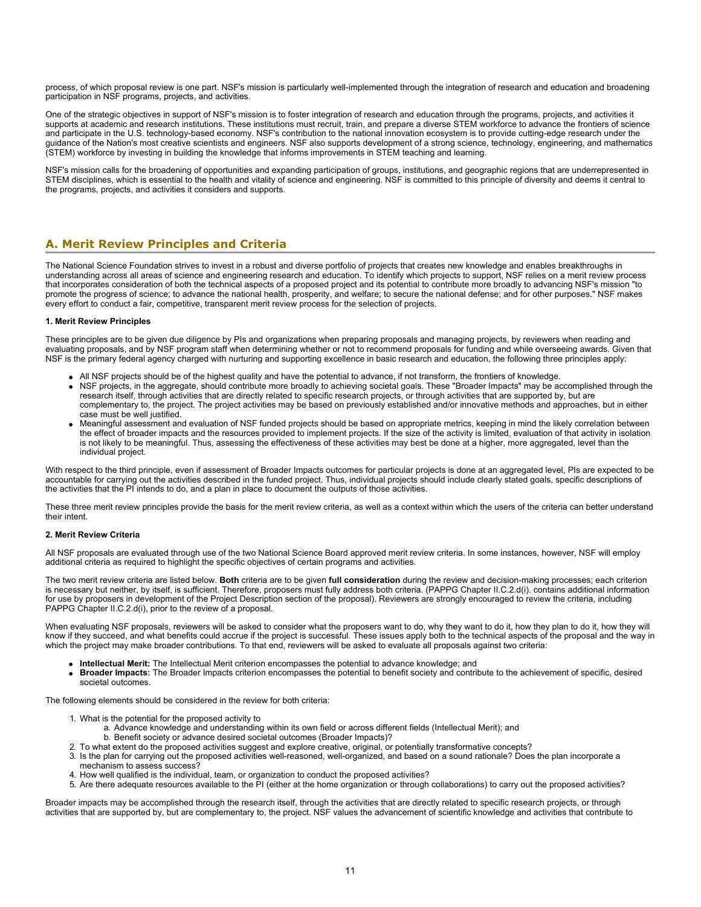process, of which proposal review is one part. NSF's mission is particularly well-implemented through the integration of research and education and broadening participation in NSF programs, projects, and activities.

One of the strategic objectives in support of NSF's mission is to foster integration of research and education through the programs, projects, and activities it supports at academic and research institutions. These institutions must recruit, train, and prepare a diverse STEM workforce to advance the frontiers of science and participate in the U.S. technology-based economy. NSF's contribution to the national innovation ecosystem is to provide cutting-edge research under the guidance of the Nation's most creative scientists and engineers. NSF also supports development of a strong science, technology, engineering, and mathematics (STEM) workforce by investing in building the knowledge that informs improvements in STEM teaching and learning.

NSF's mission calls for the broadening of opportunities and expanding participation of groups, institutions, and geographic regions that are underrepresented in STEM disciplines, which is essential to the health and vitality of science and engineering. NSF is committed to this principle of diversity and deems it central to the programs, projects, and activities it considers and supports.

### <span id="page-10-0"></span>**A. Merit Review Principles and Criteria**

The National Science Foundation strives to invest in a robust and diverse portfolio of projects that creates new knowledge and enables breakthroughs in understanding across all areas of science and engineering research and education. To identify which projects to support, NSF relies on a merit review process that incorporates consideration of both the technical aspects of a proposed project and its potential to contribute more broadly to advancing NSF's mission "to promote the progress of science; to advance the national health, prosperity, and welfare; to secure the national defense; and for other purposes." NSF makes every effort to conduct a fair, competitive, transparent merit review process for the selection of projects.

### **1. Merit Review Principles**

These principles are to be given due diligence by PIs and organizations when preparing proposals and managing projects, by reviewers when reading and evaluating proposals, and by NSF program staff when determining whether or not to recommend proposals for funding and while overseeing awards. Given that NSF is the primary federal agency charged with nurturing and supporting excellence in basic research and education, the following three principles apply:

- All NSF projects should be of the highest quality and have the potential to advance, if not transform, the frontiers of knowledge.
- NSF projects, in the aggregate, should contribute more broadly to achieving societal goals. These "Broader Impacts" may be accomplished through the research itself, through activities that are directly related to specific research projects, or through activities that are supported by, but are complementary to, the project. The project activities may be based on previously established and/or innovative methods and approaches, but in either case must be well justified.
- Meaningful assessment and evaluation of NSF funded projects should be based on appropriate metrics, keeping in mind the likely correlation between the effect of broader impacts and the resources provided to implement projects. If the size of the activity is limited, evaluation of that activity in isolation is not likely to be meaningful. Thus, assessing the effectiveness of these activities may best be done at a higher, more aggregated, level than the individual project.

With respect to the third principle, even if assessment of Broader Impacts outcomes for particular projects is done at an aggregated level, PIs are expected to be accountable for carrying out the activities described in the funded project. Thus, individual projects should include clearly stated goals, specific descriptions of the activities that the PI intends to do, and a plan in place to document the outputs of those activities.

These three merit review principles provide the basis for the merit review criteria, as well as a context within which the users of the criteria can better understand their intent.

### **2. Merit Review Criteria**

All NSF proposals are evaluated through use of the two National Science Board approved merit review criteria. In some instances, however, NSF will employ additional criteria as required to highlight the specific objectives of certain programs and activities.

The two merit review criteria are listed below. **Both** criteria are to be given **full consideration** during the review and decision-making processes; each criterion is necessary but neither, by itself, is sufficient. Therefore, proposers must fully address both criteria. (PAPPG Chapter II.C.2.d(i). contains additional information for use by proposers in development of the Project Description section of the proposal). Reviewers are strongly encouraged to review the criteria, including PAPPG Chapter II.C.2.d(i), prior to the review of a proposal.

When evaluating NSF proposals, reviewers will be asked to consider what the proposers want to do, why they want to do it, how they plan to do it, how they will know if they succeed, and what benefits could accrue if the project is successful. These issues apply both to the technical aspects of the proposal and the way in which the project may make broader contributions. To that end, reviewers will be asked to evaluate all proposals against two criteria:

- **Intellectual Merit:** The Intellectual Merit criterion encompasses the potential to advance knowledge; and
- **Broader Impacts:** The Broader Impacts criterion encompasses the potential to benefit society and contribute to the achievement of specific, desired societal outcomes.

The following elements should be considered in the review for both criteria:

- 1. What is the potential for the proposed activity to
	- a. Advance knowledge and understanding within its own field or across different fields (Intellectual Merit); and
	- b. Benefit society or advance desired societal outcomes (Broader Impacts)?
- 2. To what extent do the proposed activities suggest and explore creative, original, or potentially transformative concepts?
- 3. Is the plan for carrying out the proposed activities well-reasoned, well-organized, and based on a sound rationale? Does the plan incorporate a mechanism to assess success?
- 4. How well qualified is the individual, team, or organization to conduct the proposed activities?
- 5. Are there adequate resources available to the PI (either at the home organization or through collaborations) to carry out the proposed activities?

Broader impacts may be accomplished through the research itself, through the activities that are directly related to specific research projects, or through activities that are supported by, but are complementary to, the project. NSF values the advancement of scientific knowledge and activities that contribute to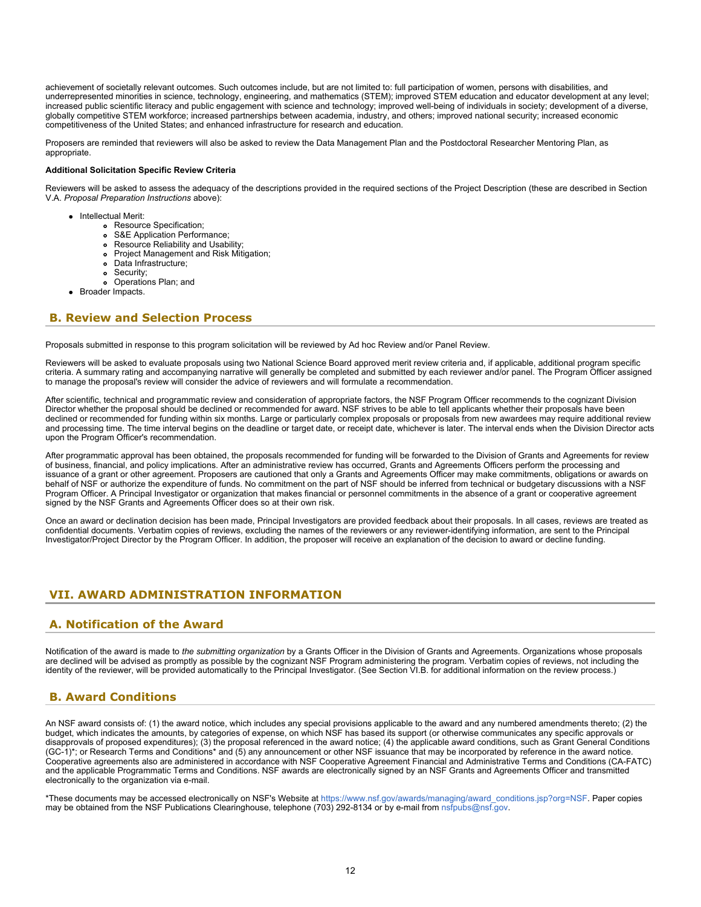achievement of societally relevant outcomes. Such outcomes include, but are not limited to: full participation of women, persons with disabilities, and underrepresented minorities in science, technology, engineering, and mathematics (STEM); improved STEM education and educator development at any level; increased public scientific literacy and public engagement with science and technology; improved well-being of individuals in society; development of a diverse, globally competitive STEM workforce; increased partnerships between academia, industry, and others; improved national security; increased economic competitiveness of the United States; and enhanced infrastructure for research and education.

Proposers are reminded that reviewers will also be asked to review the Data Management Plan and the Postdoctoral Researcher Mentoring Plan, as appropriate.

### **Additional Solicitation Specific Review Criteria**

Reviewers will be asked to assess the adequacy of the descriptions provided in the required sections of the Project Description (these are described in Section V.A. *Proposal Preparation Instructions* above):

- Intellectual Merit:
	- Resource Specification;
	- S&E Application Performance;
	- Resource Reliability and Usability;
	- Project Management and Risk Mitigation;  $\bullet$
	- Data Infrastructure;
	- Security;  $\bullet$
	- Operations Plan; and
- Broader Impacts.

# <span id="page-11-0"></span>**B. Review and Selection Process**

Proposals submitted in response to this program solicitation will be reviewed by Ad hoc Review and/or Panel Review.

Reviewers will be asked to evaluate proposals using two National Science Board approved merit review criteria and, if applicable, additional program specific criteria. A summary rating and accompanying narrative will generally be completed and submitted by each reviewer and/or panel. The Program Officer assigned to manage the proposal's review will consider the advice of reviewers and will formulate a recommendation.

After scientific, technical and programmatic review and consideration of appropriate factors, the NSF Program Officer recommends to the cognizant Division Director whether the proposal should be declined or recommended for award. NSF strives to be able to tell applicants whether their proposals have been declined or recommended for funding within six months. Large or particularly complex proposals or proposals from new awardees may require additional review and processing time. The time interval begins on the deadline or target date, or receipt date, whichever is later. The interval ends when the Division Director acts upon the Program Officer's recommendation.

After programmatic approval has been obtained, the proposals recommended for funding will be forwarded to the Division of Grants and Agreements for review of business, financial, and policy implications. After an administrative review has occurred, Grants and Agreements Officers perform the processing and issuance of a grant or other agreement. Proposers are cautioned that only a Grants and Agreements Officer may make commitments, obligations or awards on behalf of NSF or authorize the expenditure of funds. No commitment on the part of NSF should be inferred from technical or budgetary discussions with a NSF Program Officer. A Principal Investigator or organization that makes financial or personnel commitments in the absence of a grant or cooperative agreement signed by the NSF Grants and Agreements Officer does so at their own risk.

Once an award or declination decision has been made, Principal Investigators are provided feedback about their proposals. In all cases, reviews are treated as confidential documents. Verbatim copies of reviews, excluding the names of the reviewers or any reviewer-identifying information, are sent to the Principal Investigator/Project Director by the Program Officer. In addition, the proposer will receive an explanation of the decision to award or decline funding.

# <span id="page-11-1"></span>**VII. AWARD ADMINISTRATION INFORMATION**

# <span id="page-11-2"></span>**A. Notification of the Award**

Notification of the award is made to *the submitting organization* by a Grants Officer in the Division of Grants and Agreements. Organizations whose proposals are declined will be advised as promptly as possible by the cognizant NSF Program administering the program. Verbatim copies of reviews, not including the identity of the reviewer, will be provided automatically to the Principal Investigator. (See Section VI.B. for additional information on the review process.)

# <span id="page-11-3"></span>**B. Award Conditions**

An NSF award consists of: (1) the award notice, which includes any special provisions applicable to the award and any numbered amendments thereto; (2) the budget, which indicates the amounts, by categories of expense, on which NSF has based its support (or otherwise communicates any specific approvals or disapprovals of proposed expenditures); (3) the proposal referenced in the award notice; (4) the applicable award conditions, such as Grant General Conditions (GC-1)\*; or Research Terms and Conditions\* and (5) any announcement or other NSF issuance that may be incorporated by reference in the award notice. Cooperative agreements also are administered in accordance with NSF Cooperative Agreement Financial and Administrative Terms and Conditions (CA-FATC) and the applicable Programmatic Terms and Conditions. NSF awards are electronically signed by an NSF Grants and Agreements Officer and transmitted electronically to the organization via e-mail.

\*These documents may be accessed electronically on NSF's Website at [https://www.nsf.gov/awards/managing/award\\_conditions.jsp?org=NSF](https://www.nsf.gov/awards/managing/award_conditions.jsp?org=NSF). Paper copies may be obtained from the NSF Publications Clearinghouse, telephone (703) 292-8134 or by e-mail from [nsfpubs@nsf.gov.](mailto:nsfpubs@nsf.gov)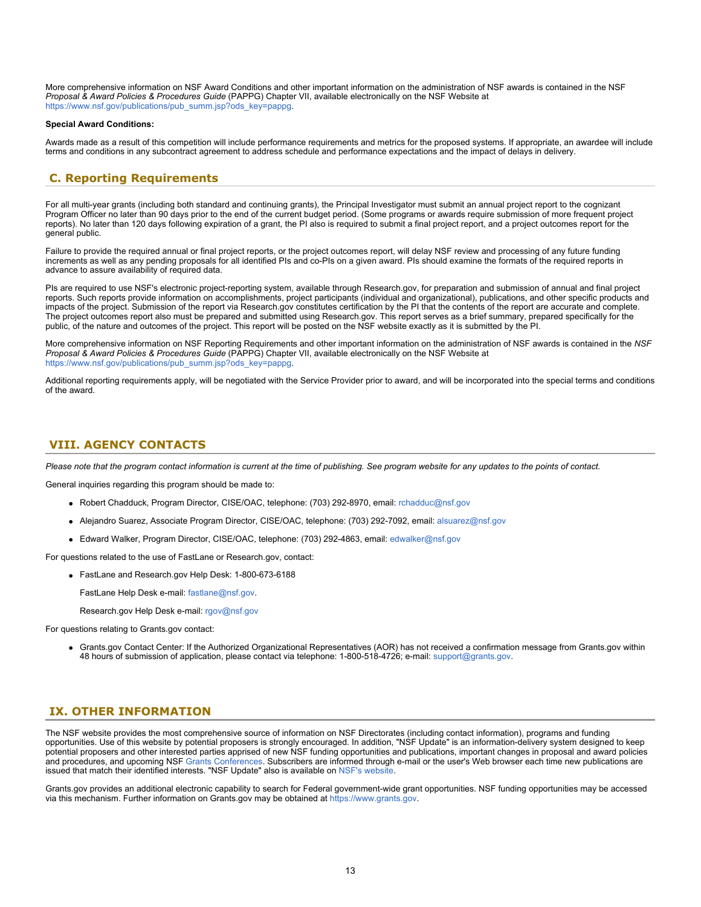More comprehensive information on NSF Award Conditions and other important information on the administration of NSF awards is contained in the NSF *Proposal & Award Policies & Procedures Guide* (PAPPG) Chapter VII, available electronically on the NSF Website at [https://www.nsf.gov/publications/pub\\_summ.jsp?ods\\_key=pappg.](https://www.nsf.gov/publications/pub_summ.jsp?ods_key=pappg)

### **Special Award Conditions:**

Awards made as a result of this competition will include performance requirements and metrics for the proposed systems. If appropriate, an awardee will include terms and conditions in any subcontract agreement to address schedule and performance expectations and the impact of delays in delivery.

# <span id="page-12-0"></span>**C. Reporting Requirements**

For all multi-year grants (including both standard and continuing grants), the Principal Investigator must submit an annual project report to the cognizant Program Officer no later than 90 days prior to the end of the current budget period. (Some programs or awards require submission of more frequent project reports). No later than 120 days following expiration of a grant, the PI also is required to submit a final project report, and a project outcomes report for the general public.

Failure to provide the required annual or final project reports, or the project outcomes report, will delay NSF review and processing of any future funding increments as well as any pending proposals for all identified PIs and co-PIs on a given award. PIs should examine the formats of the required reports in advance to assure availability of required data.

PIs are required to use NSF's electronic project-reporting system, available through Research.gov, for preparation and submission of annual and final project reports. Such reports provide information on accomplishments, project participants (individual and organizational), publications, and other specific products and impacts of the project. Submission of the report via Research.gov constitutes certification by the PI that the contents of the report are accurate and complete. The project outcomes report also must be prepared and submitted using Research.gov. This report serves as a brief summary, prepared specifically for the public, of the nature and outcomes of the project. This report will be posted on the NSF website exactly as it is submitted by the PI.

More comprehensive information on NSF Reporting Requirements and other important information on the administration of NSF awards is contained in the *NSF Proposal & Award Policies & Procedures Guide* (PAPPG) Chapter VII, available electronically on the NSF Website at https://www.nsf.gov/publications/pub\_summ.jsp?ods\_key=pappg

Additional reporting requirements apply, will be negotiated with the Service Provider prior to award, and will be incorporated into the special terms and conditions of the award.

## <span id="page-12-1"></span>**VIII. AGENCY CONTACTS**

*Please note that the program contact information is current at the time of publishing. See program website for any updates to the points of contact.*

General inquiries regarding this program should be made to:

- Robert Chadduck, Program Director, CISE/OAC, telephone: (703) 292-8970, email: [rchadduc@nsf.gov](mailto:rchadduc@nsf.gov)
- Alejandro Suarez, Associate Program Director, CISE/OAC, telephone: (703) 292-7092, email: [alsuarez@nsf.gov](mailto:alsuarez@nsf.gov)
- Edward Walker, Program Director, CISE/OAC, telephone: (703) 292-4863, email: [edwalker@nsf.gov](mailto:edwalker@nsf.gov)

For questions related to the use of FastLane or Research.gov, contact:

FastLane and Research.gov Help Desk: 1-800-673-6188

FastLane Help Desk e-mail: [fastlane@nsf.gov](mailto:fastlane@nsf.gov).

Research.gov Help Desk e-mail: [rgov@nsf.gov](mailto:rgov@nsf.gov)

For questions relating to Grants.gov contact:

Grants.gov Contact Center: If the Authorized Organizational Representatives (AOR) has not received a confirmation message from Grants.gov within 48 hours of submission of application, please contact via telephone: 1-800-518-4726; e-mail: [support@grants.gov](mailto:support@grants.gov).

# <span id="page-12-2"></span>**IX. OTHER INFORMATION**

The NSF website provides the most comprehensive source of information on NSF Directorates (including contact information), programs and funding opportunities. Use of this website by potential proposers is strongly encouraged. In addition, "NSF Update" is an information-delivery system designed to keep potential proposers and other interested parties apprised of new NSF funding opportunities and publications, important changes in proposal and award policies and procedures, and upcoming NSF [Grants Conferences](https://www.nsf.gov/bfa/dias/policy/outreach.jsp). Subscribers are informed through e-mail or the user's Web browser each time new publications are issued that match their identified interests. "NSF Update" also is available on [NSF's website](https://www.nsf.gov/cgi-bin/goodbye?https://public.govdelivery.com/accounts/USNSF/subscriber/new?topic_id=USNSF_179).

Grants.gov provides an additional electronic capability to search for Federal government-wide grant opportunities. NSF funding opportunities may be accessed via this mechanism. Further information on Grants.gov may be obtained at [https://www.grants.gov](https://www.grants.gov/).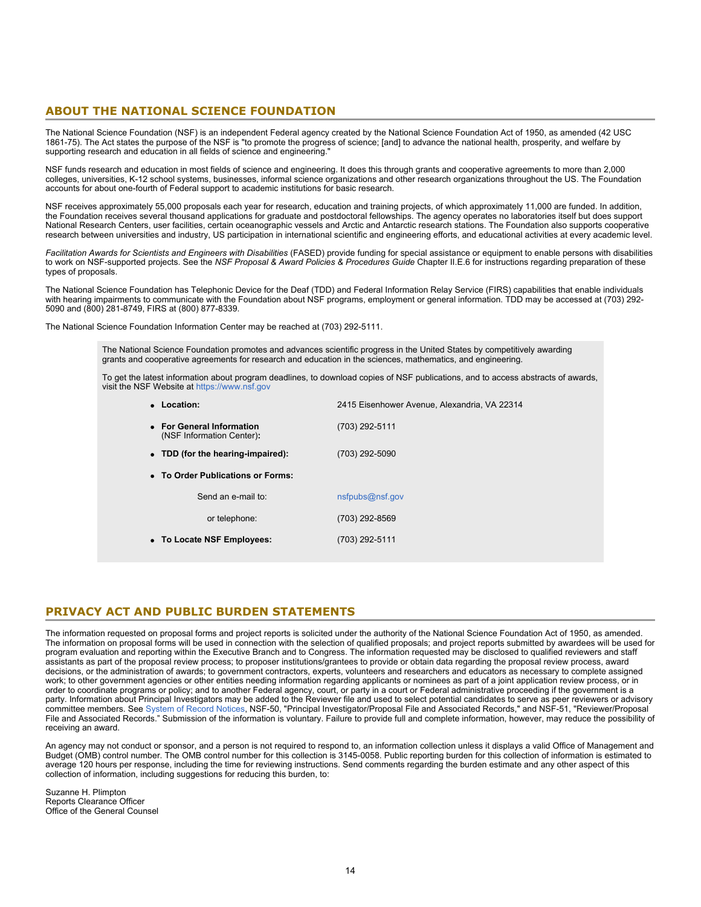# **ABOUT THE NATIONAL SCIENCE FOUNDATION**

The National Science Foundation (NSF) is an independent Federal agency created by the National Science Foundation Act of 1950, as amended (42 USC 1861-75). The Act states the purpose of the NSF is "to promote the progress of science; [and] to advance the national health, prosperity, and welfare by supporting research and education in all fields of science and engineering."

NSF funds research and education in most fields of science and engineering. It does this through grants and cooperative agreements to more than 2,000 colleges, universities, K-12 school systems, businesses, informal science organizations and other research organizations throughout the US. The Foundation accounts for about one-fourth of Federal support to academic institutions for basic research.

NSF receives approximately 55,000 proposals each year for research, education and training projects, of which approximately 11,000 are funded. In addition, the Foundation receives several thousand applications for graduate and postdoctoral fellowships. The agency operates no laboratories itself but does support National Research Centers, user facilities, certain oceanographic vessels and Arctic and Antarctic research stations. The Foundation also supports cooperative research between universities and industry, US participation in international scientific and engineering efforts, and educational activities at every academic level.

*Facilitation Awards for Scientists and Engineers with Disabilities* (FASED) provide funding for special assistance or equipment to enable persons with disabilities to work on NSF-supported projects. See the *NSF Proposal & Award Policies & Procedures Guide* Chapter II.E.6 for instructions regarding preparation of these types of proposals.

The National Science Foundation has Telephonic Device for the Deaf (TDD) and Federal Information Relay Service (FIRS) capabilities that enable individuals with hearing impairments to communicate with the Foundation about NSF programs, employment or general information. TDD may be accessed at (703) 292- 5090 and (800) 281-8749, FIRS at (800) 877-8339.

The National Science Foundation Information Center may be reached at (703) 292-5111.

The National Science Foundation promotes and advances scientific progress in the United States by competitively awarding grants and cooperative agreements for research and education in the sciences, mathematics, and engineering.

To get the latest information about program deadlines, to download copies of NSF publications, and to access abstracts of awards, visit the NSF Website at [https://www.nsf.gov](https://www.nsf.gov/)

| • Location:                                            | 2415 Eisenhower Avenue, Alexandria, VA 22314 |
|--------------------------------------------------------|----------------------------------------------|
| • For General Information<br>(NSF Information Center): | (703) 292-5111                               |
| • TDD (for the hearing-impaired):                      | (703) 292-5090                               |
| • To Order Publications or Forms:                      |                                              |
| Send an e-mail to:                                     | nsfpubs@nsf.gov                              |
| or telephone:                                          | (703) 292-8569                               |
| • To Locate NSF Employees:                             | (703) 292-5111                               |

# **PRIVACY ACT AND PUBLIC BURDEN STATEMENTS**

The information requested on proposal forms and project reports is solicited under the authority of the National Science Foundation Act of 1950, as amended. The information on proposal forms will be used in connection with the selection of qualified proposals; and project reports submitted by awardees will be used for program evaluation and reporting within the Executive Branch and to Congress. The information requested may be disclosed to qualified reviewers and staff assistants as part of the proposal review process; to proposer institutions/grantees to provide or obtain data regarding the proposal review process, award decisions, or the administration of awards; to government contractors, experts, volunteers and researchers and educators as necessary to complete assigned work; to other government agencies or other entities needing information regarding applicants or nominees as part of a joint application review process, or in order to coordinate programs or policy; and to another Federal agency, court, or party in a court or Federal administrative proceeding if the government is a party. Information about Principal Investigators may be added to the Reviewer file and used to select potential candidates to serve as peer reviewers or advisory committee members. See [System of Record Notices](https://www.nsf.gov/privacy/), NSF-50, "Principal Investigator/Proposal File and Associated Records," and NSF-51, "Reviewer/Proposal File and Associated Records." Submission of the information is voluntary. Failure to provide full and complete information, however, may reduce the possibility of receiving an award.

An agency may not conduct or sponsor, and a person is not required to respond to, an information collection unless it displays a valid Office of Management and Budget (OMB) control number. The OMB control number for this collection is 3145-0058. Public reporting burden for this collection of information is estimated to average 120 hours per response, including the time for reviewing instructions. Send comments regarding the burden estimate and any other aspect of this collection of information, including suggestions for reducing this burden, to:

Suzanne H. Plimpton Reports Clearance Officer Office of the General Counsel